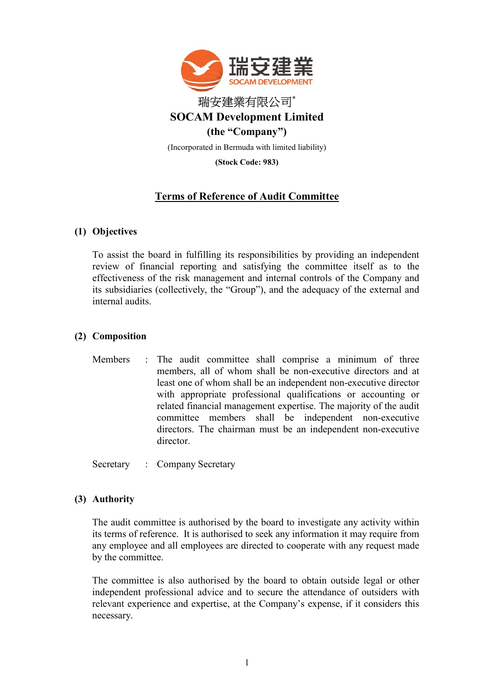

(Stock Code: 983)

# Terms of Reference of Audit Committee

# (1) Objectives

To assist the board in fulfilling its responsibilities by providing an independent review of financial reporting and satisfying the committee itself as to the effectiveness of the risk management and internal controls of the Company and its subsidiaries (collectively, the "Group"), and the adequacy of the external and internal audits.

# (2) Composition

Members : The audit committee shall comprise a minimum of three members, all of whom shall be non-executive directors and at least one of whom shall be an independent non-executive director with appropriate professional qualifications or accounting or related financial management expertise. The majority of the audit committee members shall be independent non-executive directors. The chairman must be an independent non-executive director.

Secretary : Company Secretary

# (3) Authority

The audit committee is authorised by the board to investigate any activity within its terms of reference. It is authorised to seek any information it may require from any employee and all employees are directed to cooperate with any request made by the committee.

The committee is also authorised by the board to obtain outside legal or other independent professional advice and to secure the attendance of outsiders with relevant experience and expertise, at the Company's expense, if it considers this necessary.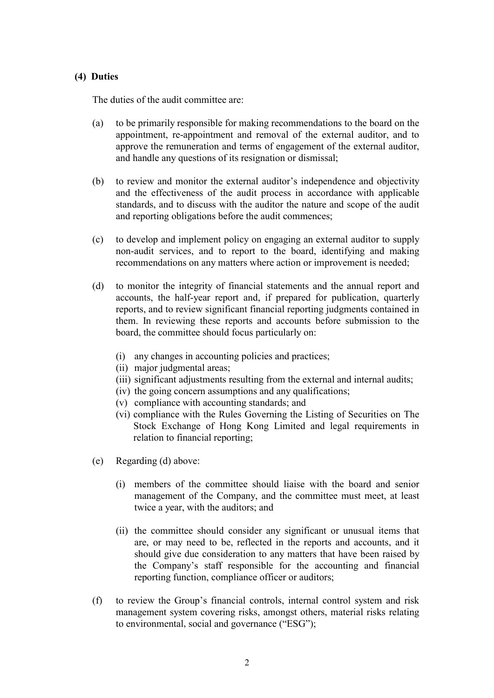### (4) Duties

The duties of the audit committee are:

- (a) to be primarily responsible for making recommendations to the board on the appointment, re-appointment and removal of the external auditor, and to approve the remuneration and terms of engagement of the external auditor, and handle any questions of its resignation or dismissal;
- (b) to review and monitor the external auditor's independence and objectivity and the effectiveness of the audit process in accordance with applicable standards, and to discuss with the auditor the nature and scope of the audit and reporting obligations before the audit commences;
- (c) to develop and implement policy on engaging an external auditor to supply non-audit services, and to report to the board, identifying and making recommendations on any matters where action or improvement is needed;
- (d) to monitor the integrity of financial statements and the annual report and accounts, the half-year report and, if prepared for publication, quarterly reports, and to review significant financial reporting judgments contained in them. In reviewing these reports and accounts before submission to the board, the committee should focus particularly on:
	- (i) any changes in accounting policies and practices;
	- (ii) major judgmental areas;
	- (iii) significant adjustments resulting from the external and internal audits;
	- (iv) the going concern assumptions and any qualifications;
	- (v) compliance with accounting standards; and
	- (vi) compliance with the Rules Governing the Listing of Securities on The Stock Exchange of Hong Kong Limited and legal requirements in relation to financial reporting;
- (e) Regarding (d) above:
	- (i) members of the committee should liaise with the board and senior management of the Company, and the committee must meet, at least twice a year, with the auditors; and
	- (ii) the committee should consider any significant or unusual items that are, or may need to be, reflected in the reports and accounts, and it should give due consideration to any matters that have been raised by the Company's staff responsible for the accounting and financial reporting function, compliance officer or auditors;
- (f) to review the Group's financial controls, internal control system and risk management system covering risks, amongst others, material risks relating to environmental, social and governance ("ESG");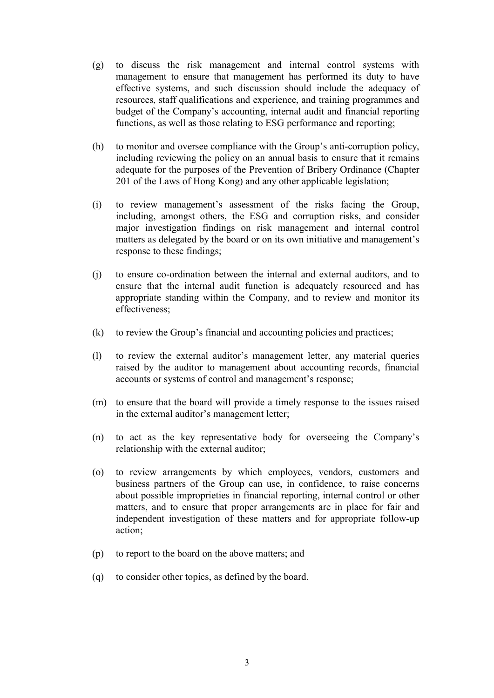- (g) to discuss the risk management and internal control systems with management to ensure that management has performed its duty to have effective systems, and such discussion should include the adequacy of resources, staff qualifications and experience, and training programmes and budget of the Company's accounting, internal audit and financial reporting functions, as well as those relating to ESG performance and reporting;
- (h) to monitor and oversee compliance with the Group's anti-corruption policy, including reviewing the policy on an annual basis to ensure that it remains adequate for the purposes of the Prevention of Bribery Ordinance (Chapter 201 of the Laws of Hong Kong) and any other applicable legislation;
- (i) to review management's assessment of the risks facing the Group, including, amongst others, the ESG and corruption risks, and consider major investigation findings on risk management and internal control matters as delegated by the board or on its own initiative and management's response to these findings;
- (j) to ensure co-ordination between the internal and external auditors, and to ensure that the internal audit function is adequately resourced and has appropriate standing within the Company, and to review and monitor its effectiveness;
- (k) to review the Group's financial and accounting policies and practices;
- (l) to review the external auditor's management letter, any material queries raised by the auditor to management about accounting records, financial accounts or systems of control and management's response;
- (m) to ensure that the board will provide a timely response to the issues raised in the external auditor's management letter;
- (n) to act as the key representative body for overseeing the Company's relationship with the external auditor;
- (o) to review arrangements by which employees, vendors, customers and business partners of the Group can use, in confidence, to raise concerns about possible improprieties in financial reporting, internal control or other matters, and to ensure that proper arrangements are in place for fair and independent investigation of these matters and for appropriate follow-up action;
- (p) to report to the board on the above matters; and
- (q) to consider other topics, as defined by the board.